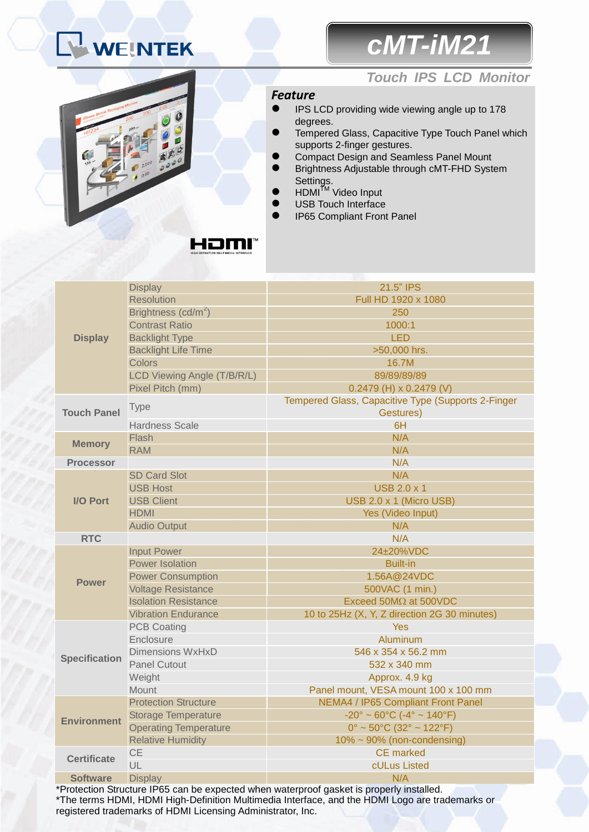# WEINTEK

## *cMT-iM21*



#### *Touch IPS LCD Monitor*

#### *Feature*

- **IPS LCD providing wide viewing angle up to 178** degrees.
- Tempered Glass, Capacitive Type Touch Panel which supports 2-finger gestures.
- Compact Design and Seamless Panel Mount
- Brightness Adjustable through cMT-FHD System Settings.
- $\bullet$  HDMI<sup>TM</sup> Video Input
- USB Touch Interface
- IP65 Compliant Front Panel

|                      | <b>Display</b>                  | 21.5" IPS                                                          |
|----------------------|---------------------------------|--------------------------------------------------------------------|
|                      | <b>Resolution</b>               | Full HD 1920 x 1080                                                |
| <b>Display</b>       | Brightness (cd/m <sup>2</sup> ) | 250                                                                |
|                      | <b>Contrast Ratio</b>           | 1000:1                                                             |
|                      | <b>Backlight Type</b>           | <b>LED</b>                                                         |
|                      | <b>Backlight Life Time</b>      | >50,000 hrs.                                                       |
|                      | Colors                          | 16.7M                                                              |
|                      | LCD Viewing Angle (T/B/R/L)     | 89/89/89/89                                                        |
|                      | Pixel Pitch (mm)                | $0.2479$ (H) x 0.2479 (V)                                          |
| <b>Touch Panel</b>   | <b>Type</b>                     | Tempered Glass, Capacitive Type (Supports 2-Finger<br>Gestures)    |
|                      | <b>Hardness Scale</b>           | 6H                                                                 |
| <b>Memory</b>        | Flash                           | N/A                                                                |
|                      | <b>RAM</b>                      | N/A                                                                |
| <b>Processor</b>     |                                 | N/A                                                                |
|                      | <b>SD Card Slot</b>             | N/A                                                                |
|                      | <b>USB Host</b>                 | <b>USB 2.0 x 1</b>                                                 |
| I/O Port             | <b>USB Client</b>               | USB 2.0 x 1 (Micro USB)                                            |
|                      | <b>HDMI</b>                     | Yes (Video Input)                                                  |
|                      | <b>Audio Output</b>             | N/A                                                                |
|                      |                                 |                                                                    |
| <b>RTC</b>           |                                 | N/A                                                                |
|                      | <b>Input Power</b>              | 24±20%VDC                                                          |
|                      | <b>Power Isolation</b>          | <b>Built-in</b>                                                    |
|                      | <b>Power Consumption</b>        | 1.56A@24VDC                                                        |
| <b>Power</b>         | <b>Voltage Resistance</b>       | 500VAC (1 min.)                                                    |
|                      | <b>Isolation Resistance</b>     | Exceed 50M $\Omega$ at 500VDC                                      |
|                      | <b>Vibration Endurance</b>      | 10 to 25Hz (X, Y, Z direction 2G 30 minutes)                       |
|                      | <b>PCB Coating</b>              | <b>Yes</b>                                                         |
|                      | Enclosure                       | Aluminum                                                           |
|                      | <b>Dimensions WxHxD</b>         | 546 x 354 x 56.2 mm                                                |
| <b>Specification</b> | <b>Panel Cutout</b>             | 532 x 340 mm                                                       |
|                      | Weight                          | Approx. 4.9 kg                                                     |
|                      | <b>Mount</b>                    | Panel mount, VESA mount 100 x 100 mm                               |
|                      | <b>Protection Structure</b>     | NEMA4 / IP65 Compliant Front Panel                                 |
|                      | <b>Storage Temperature</b>      | $-20^{\circ} \sim 60^{\circ}$ C ( $-4^{\circ} \sim 140^{\circ}$ F) |
| <b>Environment</b>   | <b>Operating Temperature</b>    | $0^{\circ}$ ~ 50 $^{\circ}$ C (32 $^{\circ}$ ~ 122 $^{\circ}$ F)   |
|                      | <b>Relative Humidity</b>        | $10\% \sim 90\%$ (non-condensing)                                  |
|                      | <b>CE</b>                       | <b>CE</b> marked                                                   |
| <b>Certificate</b>   | UL                              | cULus Listed                                                       |

\*Protection Structure IP65 can be expected when waterproof gasket is properly installed. \*The terms HDMI, HDMI High-Definition Multimedia Interface, and the HDMI Logo are trademarks or registered trademarks of HDMI Licensing Administrator, Inc.

### HDMM